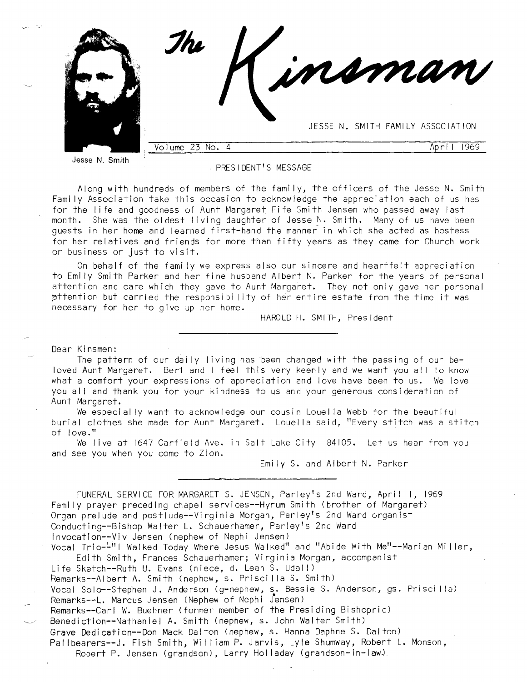

Jesse N. Smith

#### **PRESIDENT'S MESSAGE**

Along with hundreds of members of the fami ly, the officers of the Jesse N. Smith Fami ly Association take this occasion to acknowledge the appreciation each of us has for the life and goodness of Aunt Margaret Fife Smith Jensen who passed away last month. She was fhe oldest living daughter of Jesse N. Smith. Many of us have been guests in her home and learned first-hand the manner in which she acted as hostess for her relatives and friends for more than fifty years as they came for Church work or business or just to vi sit.

0n behalf of the fami ly we express also our sincere and heartfelt appreciation to Emi ly Smith Parker and her fine husband Albert N. Parker for the years of personal attention and care which they gave to Aunt Margaret. They not only gave her personal pttention but carried the responsibi lity of her entire estate from the time it was necessary for her to give up her home.

HAROLD H. SMITH, President

Dear Ki nsmen:

The pattern of our dai ly living has been changed with the passing of our beloved Aunt Margaret. Bert and I feel this very keenly and we want you all to know what a comfort your expressions of appreciation and love have been to us. We love you all and thank you for your kindness to us and your generous consideration of Aunt Margaret.

We especial ly want fo acknowledge our cousin Louel la Webb for the beautiful burial clothes she made for Aunt Margaret. Louel la said, "Every stitch was a stitch of love."

...<br>We live at 1647 Garfield Ave. in Salt Lake City 84105. Let us hear from you and see you when you come to Zion.

Emi ly S. and Albert N. Parker

FUNERAL SERVICE FOR MARGARET S. JENSEN, Parley's 2nd Ward, April I, 1969 Fami ly prayer preceding chapel services--Hyrum Smith (brofher of Margaret) Organ prelude and postlude--Virginia Morgan, Parley's 2nd Ward organist , Parley's 2nd Wa<mark>r</mark>d Invocation--Viv Jensen (nephew of Nephi Jensen) Vocal Trio-4"I Walked Today Where Jesus Walked" and "Abide With Me"--Marian Miller,

Edith Smith, Frances Schauerhamer; Vi rginia Morgan, accompanist Life Sketch--Ruth U. Evans (niece, d. Leah S. Udall) Remarks--Albert A. Smith (nephew, s. Priscilla S. Smith) Vocal Solo--Stephen J. Anderson (g-nephew, s.. Bessie S. Anderson, gs. Prisci I la) Remarks--1. Marcus Jensen (Nephew of Nephi Jensen) Remarks--Carl W. Buehner (former member of the Presiding Bishopric) Benediction--Nathaniel A. Smith (nephew, s. John Walter Smith) Grave Dedication--Don Mack Dalton (nephew, s. Hanna Daphne S. Dal ton) Pallbearers--J. Fish Smith, William P. Jarvis, Lyle Shumway, Robert L. Monson,

Robert P. Jensen (grandson), Larry Holladay (grandson-in-law).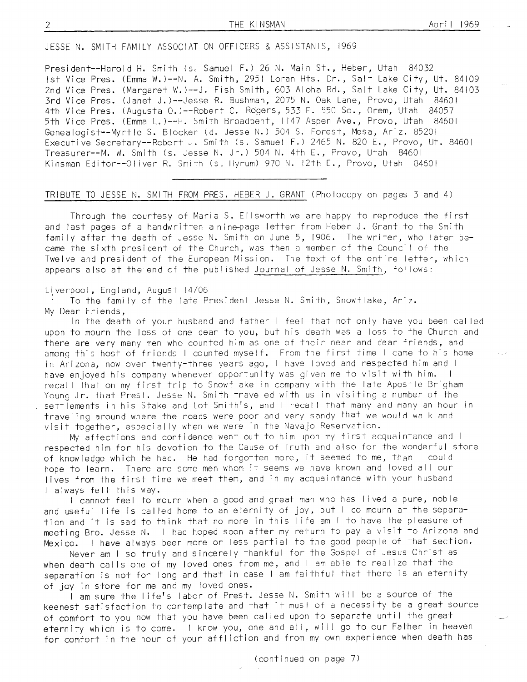JESSE N. SMITH FAMILY ASSOCIATION OFFICERS & ASSISTANTS, 1969

President--Harold H. Smith (s. Samuel F.) 26 N. Main St., Heber, Utah 84032 lst Vice Pres. (Emma W.)--N. A. Smifh, 295 | Loran Hts. Dr., Salt Lake City, Ut. <sup>84109</sup> 2nd Vice Pres. (Margaret W. )--J. Fish Smifh, 603 Aloha Rd., Salt Lake City, Ut. <sup>84103</sup> Jrd Vice Pres. (Janet J.)--Jesse R. Bushman,2015 N, Oak Lane, Provo, Utah <sup>84601</sup> 4th Vice Pres. (Augusta O.)--Robert C. Roqers,533 E. 550 So., Orem, Ufah <sup>84051</sup> 5th Vice Pres. (Emma L.)--H. Smith Broadbent, | 147 Aspen Ave., Provo, Utah <sup>84601</sup> Genealogist--Myrtle S. Blocker (d. Jesse N.) 504 S. Forest, Mesa, Ariz. 85201 Executive Secretary--Robert J. Smith (s. Samuel F.) 2465 N. 820 E., Provo, Ut. 84601 Treasurer--M. W. Smith (s. Jesse N. Jr.) 504 N. 4th E., Provo, Ufah <sup>84601</sup> Kinsman Editor--Oliver R. Smith (s. Hyrum) 970 N. 12th E., Provo, Utah 84601

# TRIBUTE TO JESSE N. SMITH FROM PRES. HEBER J. GRANT (Photocopy on pages 3 and 4)

Through the courtesy of Maria S. El lsworth we are happy to reproduce the first and last pages of a handwritten a nine-page letter from Heber J. Grant to the Smith fami ly after the death of Jesse N. Smith on June 5, 1906. The writer, who later became the sixth president of the Church, was then a member of the Council of the Twelve and president of the European Mission. The text of the entire letter, which appears also at the end of fhe publ ished Journal of Jesse N. Smith, fol lows:

Liverpool, England, August 14/06<br>' To the family of the late President Jesse N. Smith, Snowflake, Ariz. My Dear Friends,

ln the death of your husband and father I feel that not only have you been cal led upon to mourn the loss of one dear to you, but his death was a loss to the Church and there are very many men who counted him as one of their near and dear friends, and among this host of friends I counted myself. From the first time I came to his home in Arizona, now over twenty-three years ago, I have loved and respected him and I<br>have enjoved his company whenever opportunity was given me to visit with him. I have enjoyed his company whenever opportunity was given me to visit with him. recall that on my first trip to Snowflake in company with the late Apostle Brigham Young Jr. fhat Prest. Jesse N. Smith traveled with us in visiting a number of the settlements in his Stake and Lot Smith's, and I recall that many and many an hour in travel ing around where the roads were poor and very sandy that we would walk and visit together, especially when we were in the Navajo Reservation.

My affections and confidence went out to him upon my first acquaintance and I respected him for his devotion to the Cause of Truth and also for the wonderful store of knowledge which he had. He had forgotten more, it seemed to me, than I could hope to learn. There are some men whom it seems we have known and loved all our lives from fhe first time we meet them, and in my acquaintance with your husband I always felt this way.

I cannot feel to mourn when a good and great man who has lived a pure, noble and useful life is called home to an eternity of joy, but I do mourn at the separation and it is sad fo think that no more in this life am I io have the pleasure of meeting Bro. Jesse N. I had hoped soon after my return to pay a visit to Arizona and Mexico. I have always been more or less partial to the good people of that section.

Never am I so truly and sincerely fhankful for the Gospel of Jesus Christ as when death calls one of my loved ones from me, and I am able to realize that the separation is not for long and that in case I am faithful that there is an eternity of joy in store for me and my loved ones.

I am sure the life's labor of Prest. Jesse N. Smith will be a source of the keenest satisfaction to contemplate and that it must of a necessity be a great source of comfort to you now that you have been called upon fo separate until the great eternity which is to come. I know you, one and all, will go to our Father in heaven for comfort in the hour of your affl iction and from my own experience when death has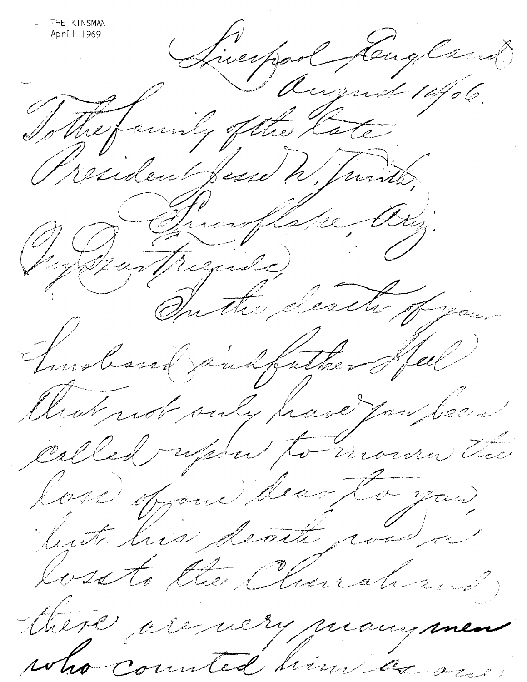THE KINSMAN April 1969 (Liverpool Lingland) Résident fuel h Juristo, O Bustraile Cathy. Tuesbard public full Cleat not only pare you been called report to monday lose oppere deux la you tuto his death coola lossto the Church there are using many men who counted him and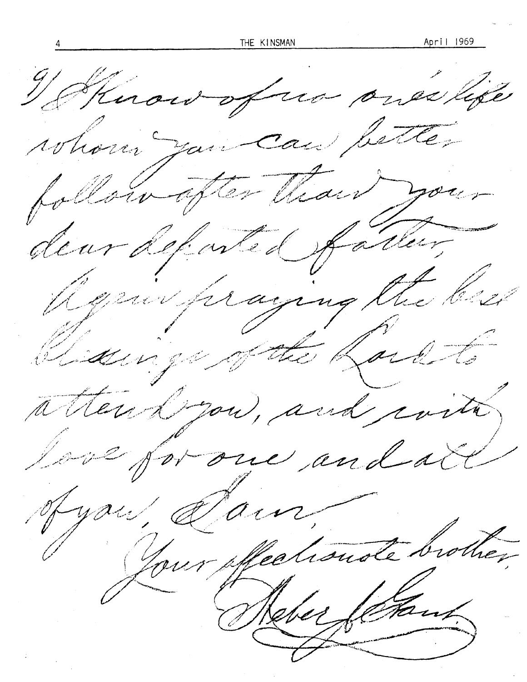Henou of un ones life whose you can better follow often than your deur de faste de fatter, Repair firaging the best Clidenige of the Rock to atter drow, and coita, love for one and all Jyou, Jain, Lour effectionale brother Rebec Jetant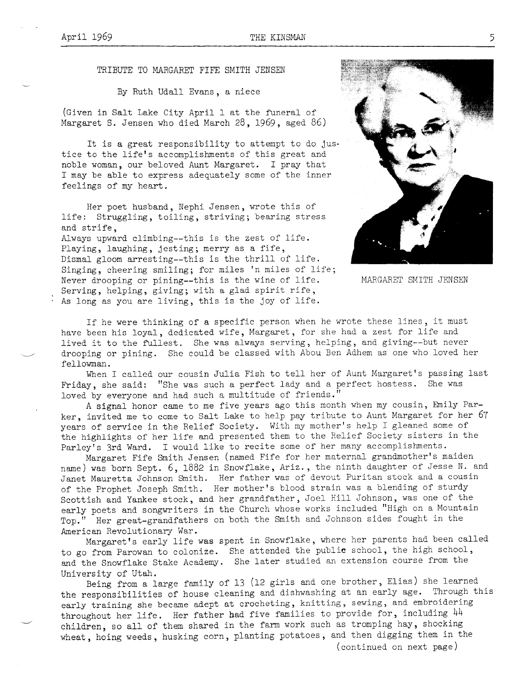TRIBUTE TO MARGARET FIFE SMITH JENSEN

By Ruth Udall Evans, a niece

(Given in Salt Lake City April 1 at the funeral of Margaret S. Jensen who died March 28, 1969, aged 86)

It is a great responsibility to attempt to do justice to the life's accomplishments of this great and noble woman, our beloved Aunt Margaret. I pray that I may be able to express adequately some of the inner feelings of my heart.

Her poet husband. Nephi Jensen, wrote this of life: Struggling, toiling, striving; bearing stress and strife,

Always upward climbing--this is the zest of life. Playing, laughing, jesting; merry as a fife, Dismal gloom arresting--this is the thrill of life. Singing, cheering smiling; for miles 'n miles of life; Never drooping or pining--this is the wine of life. Serving, helping, giving; with a glad spirit rife, As long as you are living, this is the joy of life.



MARGARET SMITH JENSEN

If he were thinking of a specific person when he wrote these lines, it must have been his loyal, dedicated wife, Margaret, for she had a zest for life and lived it to the fullest. She was always serving, helping, and giving--but never drooping or pining. She could be classed with Abou Ben Adhem as one who loved her fellowman.

When I called our cousin Julia Fish to tell her of Aunt Margaret's passing last Friday, she said: "She was such a perfect lady and a perfect hostess. She was loved by everyone and had such a multitude of friends."

A signal honor came to me five years ago this month when my cousin, Emily Parker, invited me to come to Salt Lake to help pay tribute to Aunt Margaret for her 67 years of service in the Relief Society. With my mother's help I gleaned some of the highlights of her life and presented them to the Relief Society sisters in the Parley's 3rd Ward. I would like to recite some of her many accomplishments.

Margaret Fife Smith Jensen (named Fife for her maternal grandmother's maiden name) was born Sept. 6, 1882 in Snowflake, Ariz., the ninth daughter of Jesse N. and Janet Mauretta Johnson Smith. Her father was of devout Puritan stock and a cousin of the Prophet Joseph Smith. Her mother's blood strain was a blending of sturdy Scottish and Yankee stock, and her grandfather, Joel Hill Johnson, was one of the early poets and songwriters in the Church whose works included "High on a Mountain Top." Her great-grandfathers on both the Smith and Johnson sides fought in the American Revolutionary War.

Margaret's early life was spent in Snowflake, where her parents had been called to go from Parowan to colonize. She attended the public school, the high school, and the Snowflake Stake Academy. She later studied an extension course from the University of Utah.

Being from a large family of 13 (12 girls and one brother, Elias) she learned the responsibilities of house cleaning and dishwashing at an early age. Through this early training she became adept at crocheting, knitting, sewing, and embroidering throughout her life. Her father had five families to provide for, including 44 children, so all of them shared in the farm work such as tromping hay, shocking wheat, hoing weeds, husking corn, planting potatoes, and then digging them in the (continued on next page)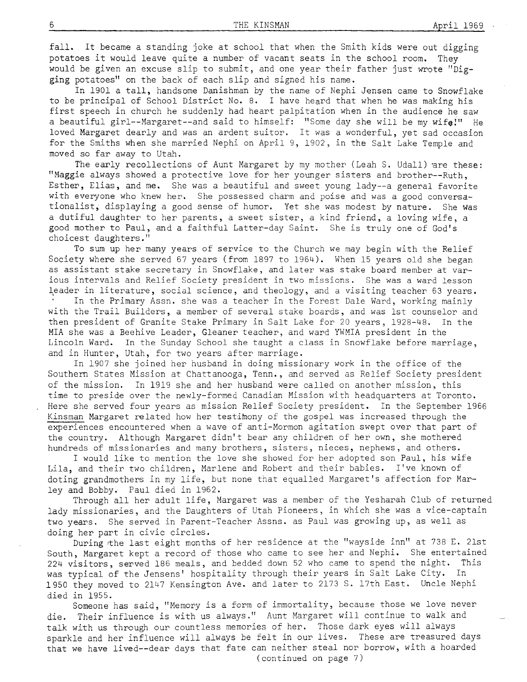fall. It became a standing joke at school that when the Smith kids were out digging potatoes it would leave quite a number of vacant seats in the school- room. They would be given an excuse slip to submit, and one year their father just wrote "Dig-<br>ging potatoes" on the back of each slip and signed his name.

In 1901 a tall, handsome Danishman by the name of Nephi Jensen came to Snowflake to be principal of School District No. 8. I have heard that when he was making his finst speech in chunch he suddenly had heart palpitation when in the audience he saw a beautiful girl--Margaret--and said to himself: "Some day she will be my wife!" He loved Margaret dearly and was an ardent suitor. It was a wonderful, yet sad occasion for the Smiths when she married Nephi on April 9, 1902, in the Salt Lake Temple and moved so far away to Utah.

The early recollections of Aunt Margaret by my mother (Leah S. Udall) are these: "Maggie always showed a protective love for her younger sisters and brother--Ruth, Esther, Elias, and me. She was a beautiful and sweet young lady--a general favorite with everyone who knew her. She possessed charm and poise and was a good conversationalist, displaying a good sense of humor. Yet she was modest by nature. She was a dutiful daughter to her parents, a sweet sister, a kind friend, a loving wife, a rtood mother to Paul, and a faithful Latter-day Saint. She is truly one of God's choicest daughters."

To sum up her many years of service to the Church we may begin with the Relief Society where she served 67 years (from 1897 to 1964). When 15 years old she began as assistant stake secretary in Snowflake, and later was stake board member at various intervals and Relief Society president in two missions. She was a ward lesson leader in literature, social science, and theology, and a visiting teacher 63 years. In the Primary Assn. she was a teacher in the Forest Dale Ward, working mainly with the Trail Builders, a member of several stake boards, and was lst counselor and then president of Granite Stake Primary in Salt Lake for 20 years, 1928-48. In the MIA she was a Beehive Leader, Gleanen teachen, and ward YWMIA president in the Lincoln Ward. In the Sunday School she taught a class in Snowflake before marriage, and in Hunter, Utah, for two years after marriage.

In I9O7 she joined her husband in doing missionary work in the office of the Southern States Mission at Chattanooga, Tenn., and served as Relief Society president of the mission. In 1919 she and her husband were called on another mission, this time to preside over the newly-formed Canadian Mission with headquarters at Toronto. Here she served four years as mission Relief Society president. In the September 1966 Kinsman Margaret related how her testimony of the gospel was increased through the experiences encountered when a wave of anti-Mormon agitation swept over that part of the country. Although Margaret didn't bear any children of her own, she mothered hundreds of missionaries and many brothens, sisters, nieces, nephews, and others.

I would like to mention the love she showed for her adopted son Paul, his wife Lila, and their two children, Marlene and Robert and their babies. I've known of doting grandmothers in my life, but none that equalled Margaret's affection for Marley and Bobby. Paul died in 1962.

Through all her adult life, Margaret was a member of the Yesharah Club of returned lady missionaries, and the Daughters of Utah Pioneers, in which she was a vice-captain two years. She served in Parent-Teacher Assns. as Paul was growing up, as well as doing her part in civic circles.

During the last eight months of her residence at the "wayside inn" at 738 E. 21st South, Margaret kept a record of those who came to see her and Nephi. She entertained 224 visitors, served 186 meals, and bedded down 52 who came to spend the night. This was typical of the Jensens' hospitality through their years in Salt Lake City. In 1950 they moved to 2147 Kensington Ave. and later to 2173 S. 17th East. Uncle Nephi died in 1955.

Someone has said, "Memory is a form of immortality, because those we love never die. Their influence is with us always." Aunt Margaret will continue to walk and talk with us through our countless memories of her. Those dark eyes will always sparkle and her influence will always be felt in our lives. These are treasured days that we have lived--dear days that fate can neither steal nor borrow, with a hoarded ( continued on page <sup>7</sup>)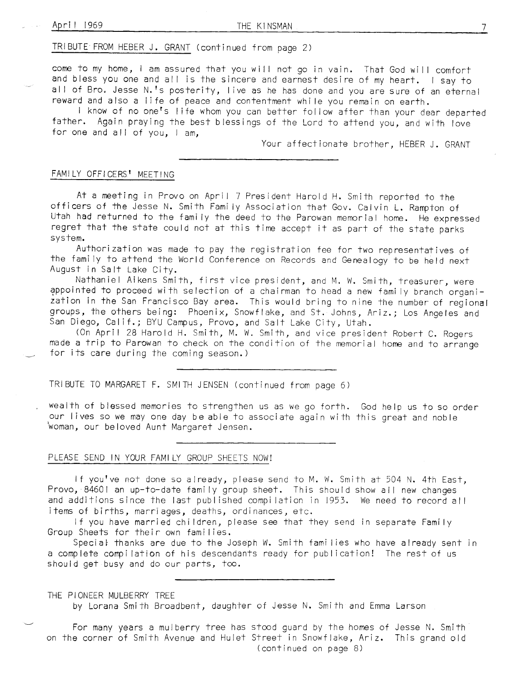TRIBUTE FROM HEBER J. GRANT (continued <sup>f</sup>rom page <sup>2</sup>)

come to my home, I am assured that you will not go in vain. That God will comfort and bless you one and all is the sincere and earnest desire of my heart. I say to all of Bro. Jesse N.'s posterity, live as he has done and you are sure of an eternal<br>reward and also a life of peace and contentment while you remain on earth.

I know of no one's life whom you can better follow after than your dear departed father. Again praying the best blessings of the Lord to attend you, and with love for one and all of you, I am,

Your affectionate brother, HEBER J. GRANT

### FAMILY OFFICERS<sup>'</sup> MEETING

At a meeting in Provo on April 7 President Harold H. Smith reported to the<br>officers of the Jesse N. Smith Family Association that Gov. Calvin L. Rampton of Utah had returned to the fami ly the deed fo the Parowan memorial home. He expressed regret that the state could nof at this time accept it as part of the state parks system.

Authorization was made to pay the registration fee for fwo representatives of the fami ly to attend the World Conference on Records and Genealoqv to be held next August in Salt Lake City.

Nathaniel Aikens Smith, first vice president, and M. W. Smith, treasurer, were ?Ppoinfed to proceed with selection of a chairman to head a new fami ly branch organi- zafion in the San Francisco Bay area. This would bring fo nine the number of regional groups, the others being: Phoenix, Snowflake, and St. Johns, Ariz.; Los Angeles and San Diego, Calif.; BYU Campus, Provo, and Salt Lake City, Utah.

(On April 28 Harold H. Smith, M. W. Smith, and vice president Robert C. Rogers made a trip to Parowan to check on the condition of the memorial home and to arrange for its care during the coming season.)

TRIBUTE TO MARGARET F. SMITH JENSEN (continued from page 6)

wealth of blessed memories to strengthen us as we go forfh. God help us to so order our lives so we may one day be able to associate again with this great and noble 'woman, our be loved Aunt Margaret Jensen.

## PLEASE SEND IN YOUR FAMILY GROUP SHEETS NOW!

If you've not done so already, please send to M. W. Smith at 504 N. 4th East, Provo, 84601 an up-to-date family group sheet. This should show all new changes and additions since the last published compilation in 1953. We need to record all items of births, marriages, deaths, ordinances, etc.

lf you have married chi ldren, please see that they send in separate Fami ly Group Sheets for their own families.

Special thanks are due to the Joseph W. Smith families who have already sent in a complete compilation of his descendants ready for publication! The rest of us should get busy and do our parts, too.

THE PIONEER MULBERRY TREE

by Lorana Smith Broadbent, daughter of Jesse N. Smith and Emma Larson

For many years a mulberry free has stood guard by the homes of Jesse N. Smith on the corner of Smith Avenue and Hulet Street in Snowflake, Ariz. This grand old (continued on page 8)

 $7\overline{ }$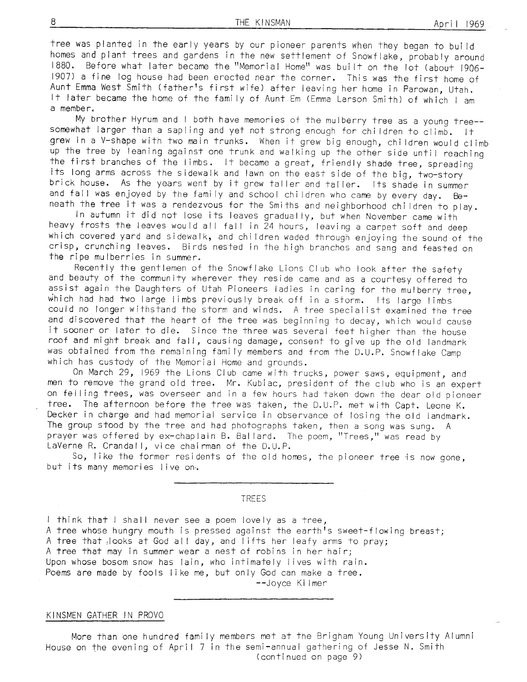tree was planted in the early years by our pioneer parents when they began to build<br>homes and plant trees and gardens in the new settlement of Snowflake, probably around 1880. Before what later became the "Memorial Home" was built on the lot (about 1906-1907) a fine log house had been erected near the corner. This was the first home of<br>Aunt Emma West Smith (father's first wife) after leaving her home in Parowan, Utah.<br>It later became the home of the family of Aunt Em (Emm a member.

My brother Hyrum and I both have memories of the mulberry tree as a young tree-somewhat larger than a sapling and yet not strong enough for children to climb. It grew in a V-shape with two main trunks. When it grew big enough, children would climb up the tree by leaning against one trunk and walking up the other side until reaching<br>the first branches of the limbs. It became a great, friendly shade tree, spreading<br>its long arms across the sidewalk and lawn on the eas

neath the tree it was a rendezvous for the Smiths and neighborhood children to play.<br>In autumn it did not lose its leaves gradually, but when November came with<br>heavy frosts the leaves would all fall in 24 hours, leaving a which covered yard and sidewalk, and children waded through enjoying the sound of the crisp, crunching leaves. Birds nested in the high branches and sang and feasted on<br>the ripe mulberries in summer.

Recently the gentlemen of the Snowflake Lions Club who look after the safety and beauty of the community wherever they reside came and as a courtesy offered to assist again the Daughters of Utah Pioneers ladies in caring for the mulberry tree, which had had two large limbs previously break off in a storm. Its large limbs could no longer withstand the storm and winds. A tree specialist examined the tree and discovered that the heart of the tree was beginning to decay, which would cause<br>it sooner or later to die. Since the three was several feet higher than the house<br>roof and might break and fall, causing damage, consent t was obtained from fhe remaining fami ly members and from the D.U.P. Snowflake Camp which has custody of the Memorial Home and grounds.

0n March 29, 1969 the Lions Club came with trucks, power saws, eguipment, and nen to remove the grand old tree. Mr. Kubiac, president of the club who is an expert on felling trees, was overseer and in a few hours had taken down the dear old pioneer tree. The afternoon before the tree was taken, the D.U.P. met with Capt. Leone K. Decker in charge and had memorial service in observance of losing the old Iandmark. The group stood by the tree and had photographs taken, then a song was sung. A prayer was offered by ex-chaplain B. Ballard. The poem, "Trees," was read by LaVerne R. Crandall, vice chairman of the D.U.P.

So, like the former residents of the old homes, the pioneer tree is now gone, but ifs many memories I ive on'.

TREES

I think that I shall never see a poem lovely as a tree, A tree whose hungry mouth is pressed against the earth's sweet-flowing breast; A tree that, looks at God all day, and lifts her leafy arms to pray; A tree that may in summer wear a nest of robins in her hair; Upon whose bosom snow has lain, who intimately I ives with rain. Poems are made by fools like me, but only God can make a tree. --Joyce Ki I mer

#### KINSMEN GATHER IN PROVO

More than one hundred fami ly members met at the Brigham Young University Alumni House on the evening of April 7 in the semi-annual gathering of Jesse N. Smith (continued on oaqe 9)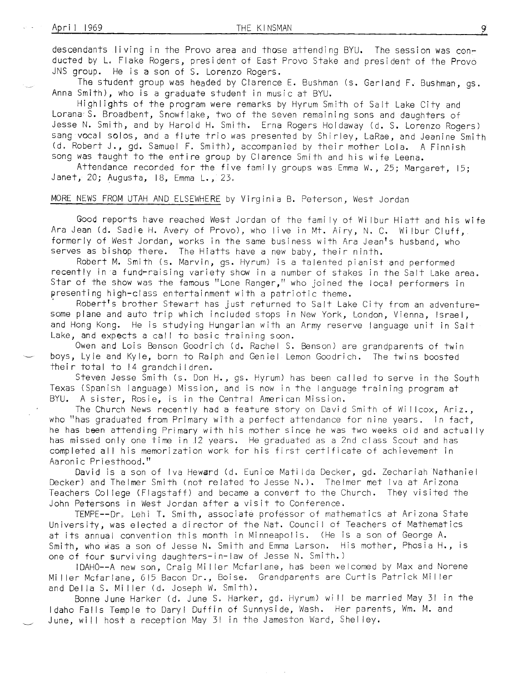descendants living in the Provo area and those attending BYU. The session was conducted by L. Flake Rogers, president of East Provo Stake and president of the Provo JNS group. He is a son of S. Lorenzo Rogers.

The student group was headed by Clarence E. Bushman (s. Garland F. Bushman, gs. Anna Smith), who is a graduate student in music at BYU.

Highlights of the program were remarks by Hyrum Smith of Salt Lake City and Lorana<sup>6</sup>S. Broadbent, Snowflake, two of the seven remaining sons and daughters of Jesse N. Smith, and by Harold H. Smith. Erna Rogers Holdaway (d. S. Lorenzo Rogers) sang vocal solos, and a flute trio was presented by Shirley, LaRae, and Jeanine Smith<br>(d. Robert J., gd. Samuel F. Smith), accompanied by their mother Lola. A Finnish song was taught to the entire group by Clarence Smith and his wife Leena.

Attendance recorded for the five fami ly groups was Emma W., 25; Margaret, 15; Janet, 20; Augusta, 18, Emma L., 23.

# MORE NEWS FROM UTAH AND ELSEWHERE by Virginia B. Peterson, West Jordan

Good reports have reached West Jordan of the family of Wilbur Hiatt and his wife Ara Jean (d. Sadie H. Avery of Provo), who live in Mt. Airy, N. C. Wi lbur Cluff, formerly of West Jordan, works in the same business with Ara Jean's husband, who serves as bishop there. The Hiatts have a new baby, their ninth.

Robert M. Smith (s. Marvin, gs. Hyrum) is a talented pianist and performed recently in a fund-raising variety show in a number of stakes in the Salt Lake area. Star of the show was the famous "Lone Ranger," who joined the local performers in<br>presenting high-class entertainment with a patriotic theme.

presenting high-class entertainment with a patriotic theme.<br>' Robert's brother Stewart has just returned to Salt Lake City from an adventure-<br>some plane and auto trip which included stops in New York, London, Vienna, Is and Hong Kong. He is studying Hungarian with an Army reserve language unit in Salt Lake, and expects a call to basic training soon.

Owen and Lois Benson Goodrich (d. Rachel S. Benson) are grandparents of twin boys, Lyle and Kyle, born to Ralph and Geniel Lemon Goodrich. The fwins boosted fheir total to l4 grandchildren.

Steven Jesse Smith (s. Don H., gs. Hyrum) has been called to serve in the South Texas (Spanish language) Mission, and is now in the language training program at BYU. A sister, Rosie, is in the CentraI Anerican Mission.

The Church News recently had a feature story on David Smith of Willcox, Ariz., who "has graduated from Primary with a perfect attendance for nine years. In fact, he has been attending Primary with his mother since he was two weeks old and actual ly has missed only one time in 12 years. He graduated as a 2nd class Scout and has completed all his memorization work for his first certificate of achievement in Aaronic Priesthood."

David is a son of Iva Heward (d. Eunice Matilda Decker, gd. Zechariah Nathaniel Decker) and Thelmer Smith (not related to Jesse N.). Thelmer met Iva at Arizona Teachers College (Flagstaff) and became a convert to the Church. They visited the John Petersons in West Jordan after a visit fo Conference.

TEMPE--Dr" Lehi T. Smith, associate professor of mathematics at Arizona State University, was elected a director of the Nat. Council of Teachers of Mathematics at its annual convention this month in Minneapolis. (He is a son of George A. Smith, who was a son of Jesse N. Smith and Emma Larson. His mother, Phosia H., is one of four surviving daughters-in-law of Jesse N. Smith.)

IDAHO--A new son, Craig Miller Mcfarlane, has been welcomed by Max and Norene Mi ller Mcfarlane, 615 Bacon Dr., Boise. Grandparents are Curtis Patrick Miller and Della S. Miller (d. Joseph W. Smith).

Bonne June Harker (d. June S. Harker, gd. Hyrum) wi ll be married May 3l in the ldaho Falls Temple to Daryl Duffin of Sunnyside, Wash. Her parenfs, Wm. M. and June, wil I host a reception May 3l in the Jamesfon Ward, Shel ley,